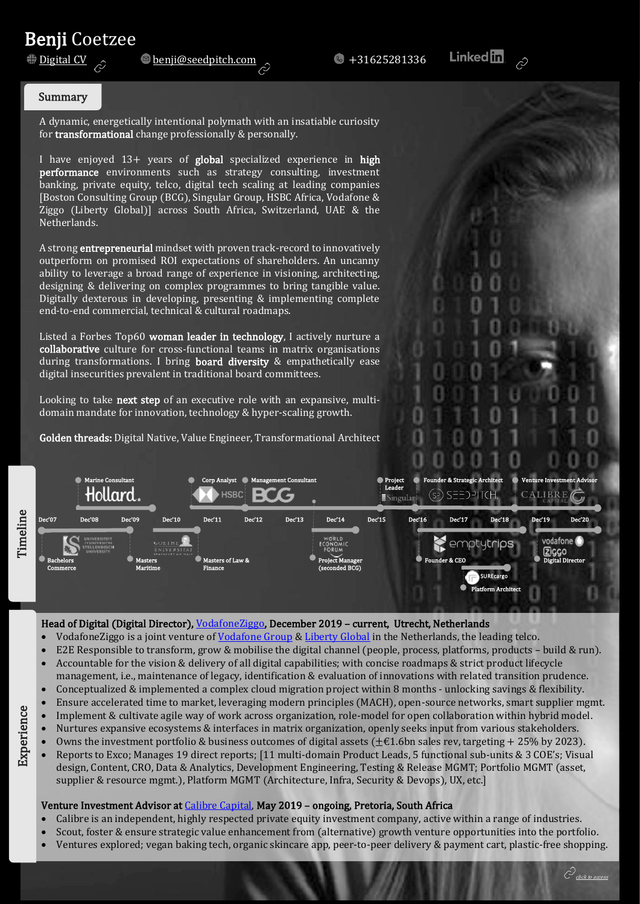# **Benji Coetzee**<br><u>Digital CV</u>

#### Summary

A dynamic, energetically intentional polymath with an insatiable curiosity for transformational change professionally & personally.

<sub>[</sub>Boston Consulting Group (BCG), singular Group, risbC Africa, Vodalone &<br>Ziggo (Liberty Global)] across South Africa, Switzerland, UAE & the I have enjoyed  $13+$  years of global specialized experience in high performance environments such as strategy consulting, investment banking, private equity, telco, digital tech scaling at leading companies [Boston Consulting Group (BCG), Singular Group, HSBC Africa, Vodafone & Netherlands.

A strong **entrepreneurial** mindset with proven track-record to innovatively outperform on promised ROI expectations of shareholders. An uncanny ability to leverage a broad range of experience in visioning, architecting, designing & delivering on complex programmes to bring tangible value. Digitally dexterous in developing, presenting & implementing complete end-to-end commercial, technical & cultural roadmaps.

Listed a Forbes Top60 woman leader in technology, I actively nurture a collaborative culture for cross-functional teams in matrix organisations during transformations. I bring board diversity & empathetically ease digital insecurities prevalent in traditional board committees.

Looking to take next step of an executive role with an expansive, multidomain mandate for innovation, technology & hyper-scaling growth.

Golden threads: Digital Native, Value Engineer, Transformational Architect



#### Head of Digital (Digital Director)[, VodafoneZiggo,](https://www.vodafoneziggo.nl/) December 2019 - current, Utrecht, Netherlands

- VodafoneZiggo is a joint venture of [Vodafone Group](https://www.vodafone.com/) & [Liberty Global](https://www.libertyglobal.com/) in the Netherlands, the leading telco.
- E2E Responsible to transform, grow & mobilise the digital channel (people, process, platforms, products build & run).
- Accountable for the vision & delivery of all digital capabilities; with concise roadmaps & strict product lifecycle management, i.e., maintenance of legacy, identification & evaluation of innovations with related transition prudence.
- Conceptualized & implemented a complex cloud migration project within 8 months unlocking savings & flexibility.
- Ensure accelerated time to market, leveraging modern principles (MACH), open-source networks, smart supplier mgmt.
- Implement & cultivate agile way of work across organization, role-model for open collaboration within hybrid model.
- Nurtures expansive ecosystems & interfaces in matrix organization, openly seeks input from various stakeholders.
- Owns the investment portfolio & business outcomes of digital assets ( $\pm \epsilon 1.6$ bn sales rev, targeting + 25% by 2023).
- Reports to Exco; Manages 19 direct reports; [11 multi-domain Product Leads, 5 functional sub-units & 3 COE's; Visual design, Content, CRO, Data & Analytics, Development Engineering, Testing & Release MGMT; Portfolio MGMT (asset, supplier & resource mgmt.), Platform MGMT (Architecture, Infra, Security & Devops), UX, etc.]

### Venture Investment Advisor at [Calibre Capital,](https://www.calibrecapital.co/) May 2019 – ongoing, Pretoria, South Africa

- Calibre is an independent, highly respected private equity investment company, active within a range of industries.
- Scout, foster & ensure strategic value enhancement from (alternative) growth venture opportunities into the portfolio.
- Ventures explored; vegan baking tech, organic skincare app, peer-to-peer delivery & payment cart, plastic-free shopping.



 $\hat{C}$ click to access